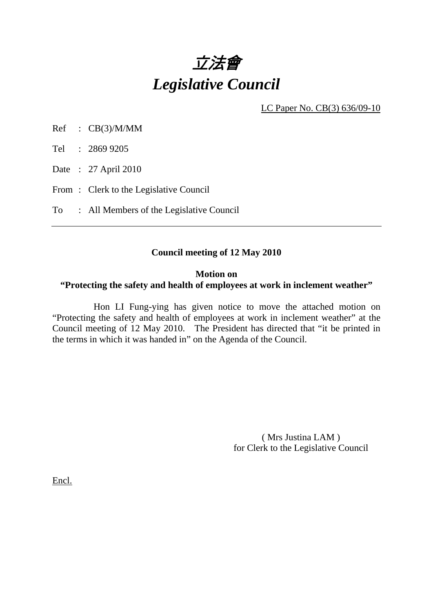

LC Paper No. CB(3) 636/09-10

Ref : CB(3)/M/MM

Tel : 2869 9205

Date : 27 April 2010

From: Clerk to the Legislative Council

To : All Members of the Legislative Council

# **Council meeting of 12 May 2010**

## **Motion on**

# **"Protecting the safety and health of employees at work in inclement weather"**

 Hon LI Fung-ying has given notice to move the attached motion on "Protecting the safety and health of employees at work in inclement weather" at the Council meeting of 12 May 2010. The President has directed that "it be printed in the terms in which it was handed in" on the Agenda of the Council.

> ( Mrs Justina LAM ) for Clerk to the Legislative Council

Encl.